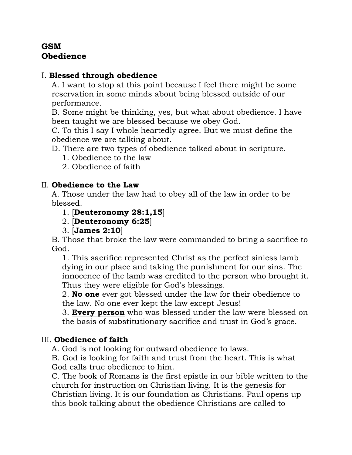# **GSM Obedience**

## I. **Blessed through obedience**

A. I want to stop at this point because I feel there might be some reservation in some minds about being blessed outside of our performance.

B. Some might be thinking, yes, but what about obedience. I have been taught we are blessed because we obey God.

C. To this I say I whole heartedly agree. But we must define the obedience we are talking about.

D. There are two types of obedience talked about in scripture.

- 1. Obedience to the law
- 2. Obedience of faith

## II. **Obedience to the Law**

A. Those under the law had to obey all of the law in order to be blessed.

### 1. [**Deuteronomy 28:1,15**]

2. [**Deuteronomy 6:25**]

#### 3. [**James 2:10**]

B. Those that broke the law were commanded to bring a sacrifice to God.

1. This sacrifice represented Christ as the perfect sinless lamb dying in our place and taking the punishment for our sins. The innocence of the lamb was credited to the person who brought it. Thus they were eligible for God's blessings.

2. **No one** ever got blessed under the law for their obedience to the law. No one ever kept the law except Jesus!

3. **Every person** who was blessed under the law were blessed on the basis of substitutionary sacrifice and trust in God's grace.

## III. **Obedience of faith**

A. God is not looking for outward obedience to laws.

B. God is looking for faith and trust from the heart. This is what God calls true obedience to him.

C. The book of Romans is the first epistle in our bible written to the church for instruction on Christian living. It is the genesis for Christian living. It is our foundation as Christians. Paul opens up this book talking about the obedience Christians are called to